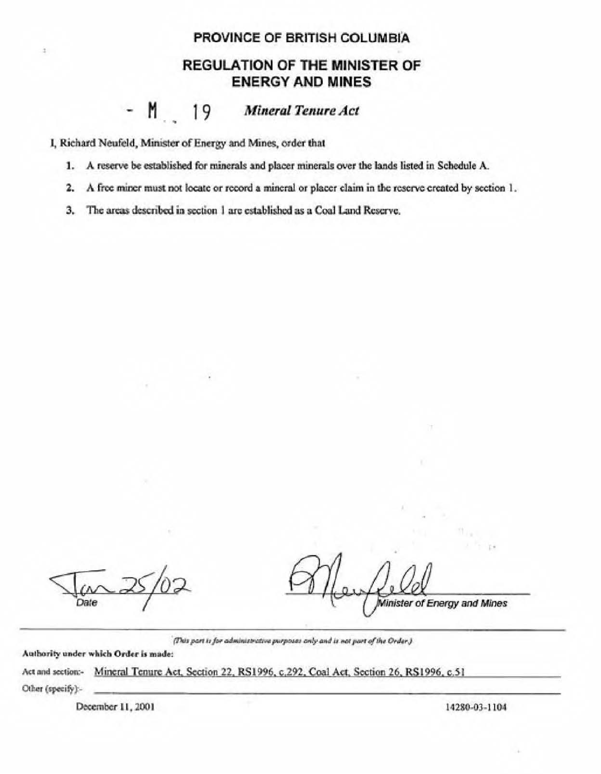## PROVINCE OF BRITISH COLUMBIA

## **REGULATION OF THE MINISTER OF ENERGY AND MINES**

## $-M$  19 **Mineral Tenure Act**

I, Richard Neufeld, Minister of Energy and Mines, order that

ä

- 1. A reserve be established for minerals and placer minerals over the lands listed in Schedule A.
- 2. A free miner must not locate or record a mineral or placer claim in the reserve created by section 1.
- The areas described in section 1 are established as a Coal Land Reserve, 3.

Date

Minister of Energy and Mines

(This part is for administrative purposes only and is not part of the Order.)

Authority under which Order is made:

Act and section:- Mineral Tenure Act, Section 22, RS1996, c.292, Coal Act, Section 26, RS1996, c.51 Other (specify) -

December 11, 2001

14280-03-1104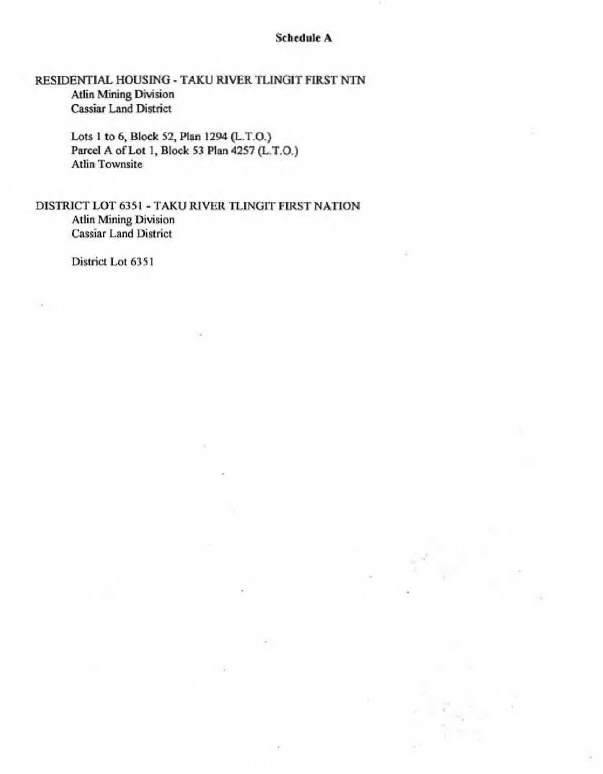## **Schedule A**

RESIDENTIAL HOUSING - TAKU RIVER TLINGIT FIRST NTN **Atlin Mining Division** Cassiar Land District

> Lots 1 to 6, Block 52, Plan 1294 (L.T.O.) Parcel A of Lot 1, Block 53 Plan 4257 (L.T.O.) Atlin Townsite

DISTRICT LOT 6351 - TAKU RIVER TLINGIT FIRST NATION Atlin Mining Division Cassiar Land District

District Lot 6351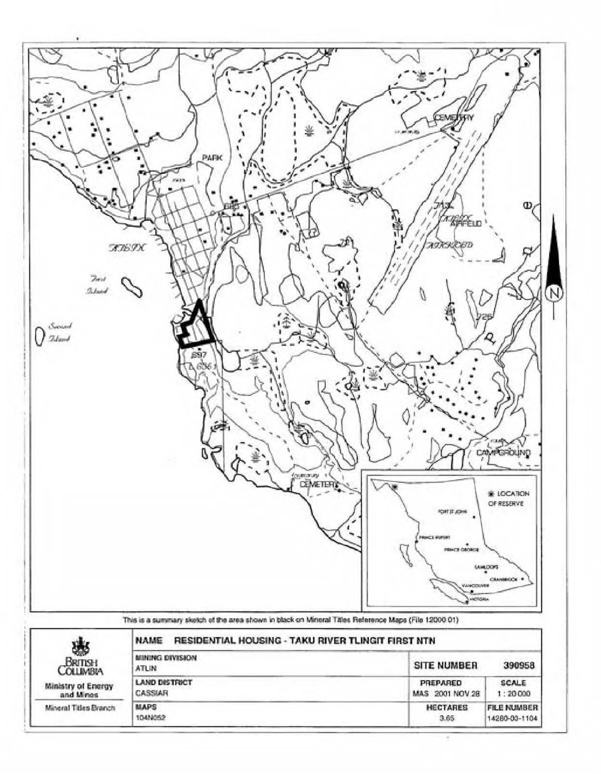

This is a summary sketch of the area shown in black on Mineral Titles Reference Maps (File 12000 01)

| 邀<br>BRITISH<br><b>COLLIMBIA</b> | RESIDENTIAL HOUSING - TAKU RIVER TLINGIT FIRST NTN<br><b>NAME</b> |                    |                    |
|----------------------------------|-------------------------------------------------------------------|--------------------|--------------------|
|                                  | MINING DIVISION<br>ATLIN                                          | <b>SITE NUMBER</b> | 390958             |
| Ministry of Energy               | <b>LAND DISTRICT</b>                                              | PREPARED           | <b>SCALE</b>       |
| and Mines                        | CASSIAR                                                           | MAS 2001 NOV 28    | 1:20000            |
| Mineral Titles Branch            | MAPS                                                              | <b>HECTARES</b>    | <b>FILE NUMBER</b> |
|                                  | 104N052                                                           | 3.65               | 14280-03-1104      |

Ξ